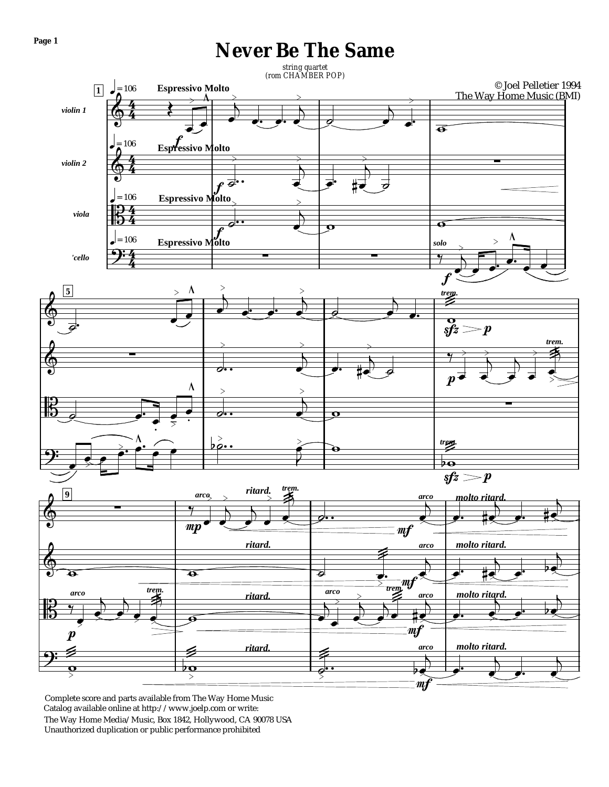## **Never Be The Same**



Catalog available online at http://www.joelp.com or write: Unauthorized duplication or public performance prohibited The Way Home Media/Music, Box 1842, Hollywood, CA 90078 USA Complete score and parts available from The Way Home Music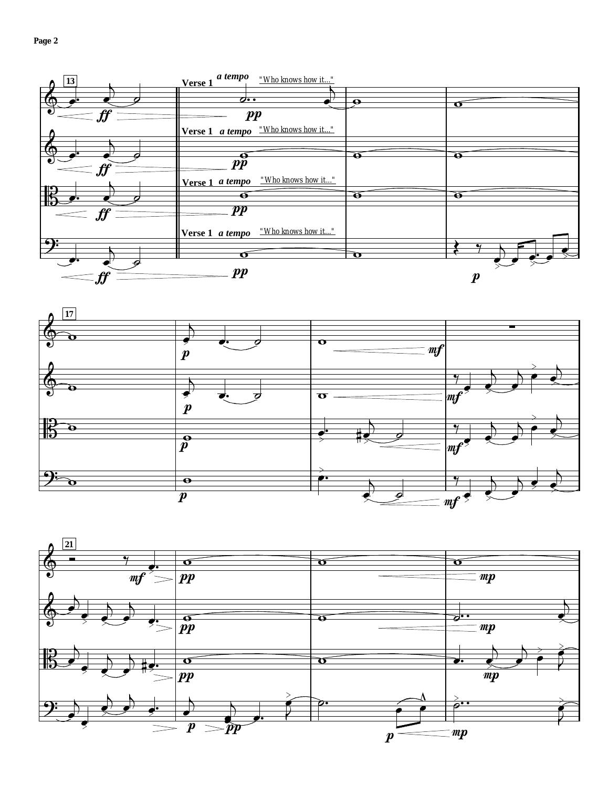





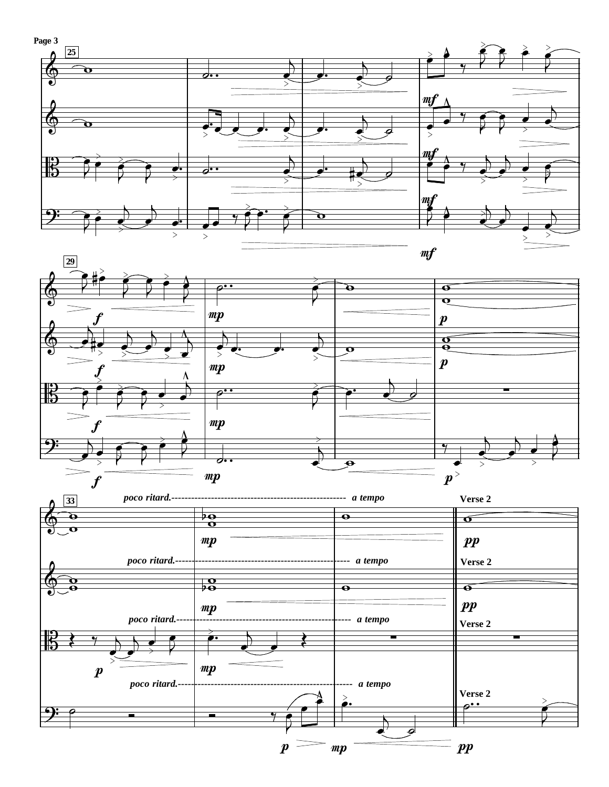



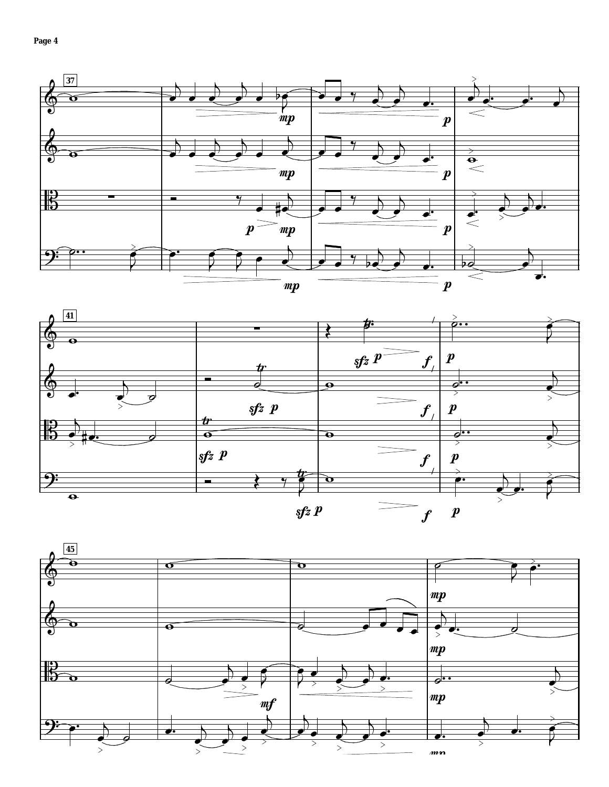





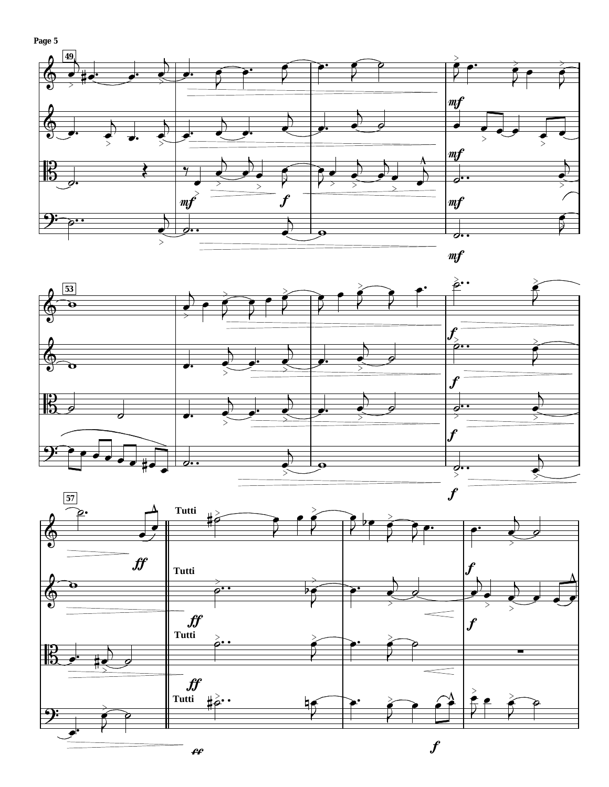





 $\boldsymbol{\mu}$ 

 $\boldsymbol{f}$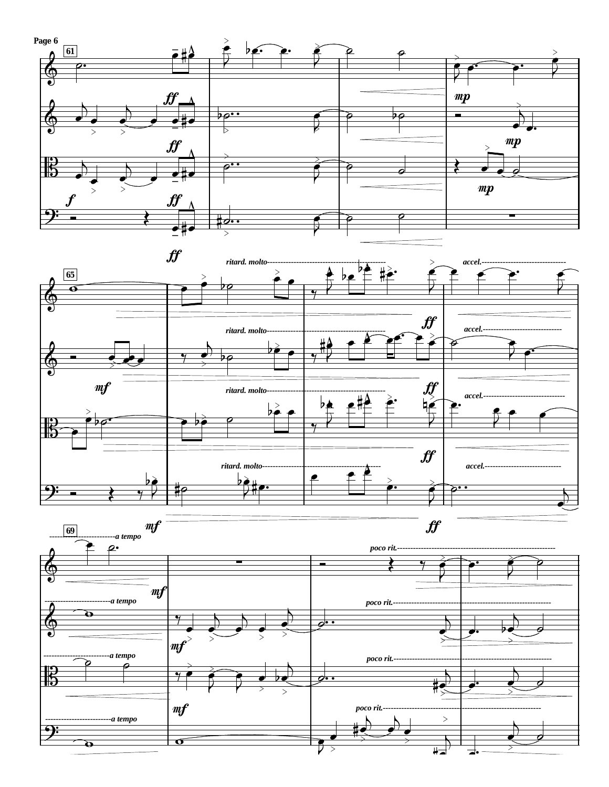



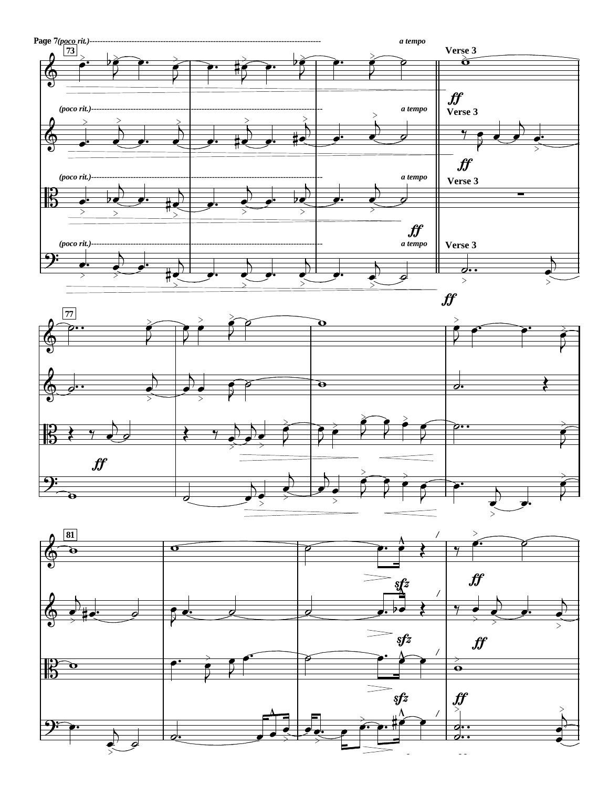



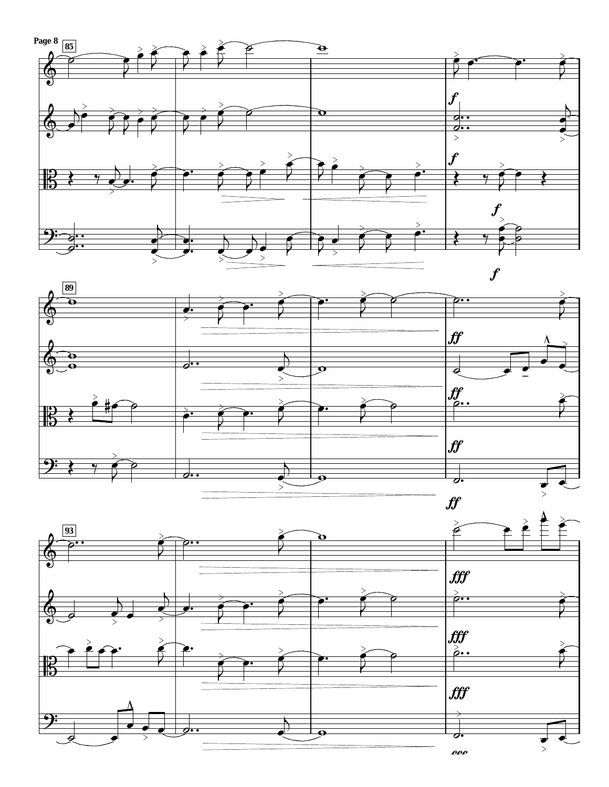